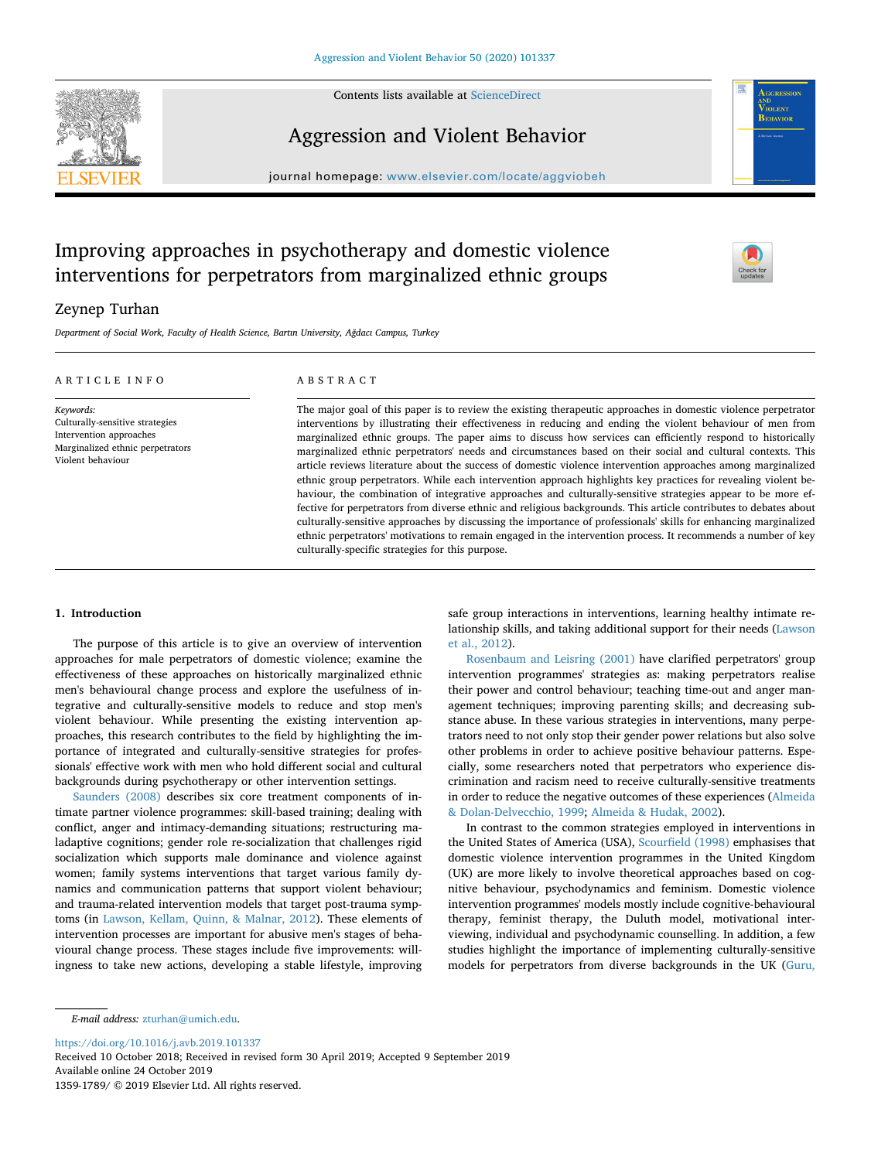

Contents lists available at [ScienceDirect](http://www.sciencedirect.com/science/journal/13591789)

# Aggression and Violent Behavior

journal homepage: [www.elsevier.com/locate/aggviobeh](https://www.elsevier.com/locate/aggviobeh)

# Improving approaches in psychotherapy and domestic violence interventions for perpetrators from marginalized ethnic groups



IOLENT BEHAVIOI

### Zeynep Turhan

*Department of Social Work, Faculty of Health Science, Bartın University, Ağdacı Campus, Turkey*

| ARTICLE INFO                                                                                                                     | ABSTRACT                                                                                                                                                                                                                                                                                                                                                                                                                                                                                                                                                                                                                                                                                                                                                                                                                                                                                                                                                                                                                                                                                                                                                                                                                  |  |
|----------------------------------------------------------------------------------------------------------------------------------|---------------------------------------------------------------------------------------------------------------------------------------------------------------------------------------------------------------------------------------------------------------------------------------------------------------------------------------------------------------------------------------------------------------------------------------------------------------------------------------------------------------------------------------------------------------------------------------------------------------------------------------------------------------------------------------------------------------------------------------------------------------------------------------------------------------------------------------------------------------------------------------------------------------------------------------------------------------------------------------------------------------------------------------------------------------------------------------------------------------------------------------------------------------------------------------------------------------------------|--|
| Keywords:<br>Culturally-sensitive strategies<br>Intervention approaches<br>Marginalized ethnic perpetrators<br>Violent behaviour | The major goal of this paper is to review the existing therapeutic approaches in domestic violence perpetrator<br>interventions by illustrating their effectiveness in reducing and ending the violent behaviour of men from<br>marginalized ethnic groups. The paper aims to discuss how services can efficiently respond to historically<br>marginalized ethnic perpetrators' needs and circumstances based on their social and cultural contexts. This<br>article reviews literature about the success of domestic violence intervention approaches among marginalized<br>ethnic group perpetrators. While each intervention approach highlights key practices for revealing violent be-<br>haviour, the combination of integrative approaches and culturally-sensitive strategies appear to be more ef-<br>fective for perpetrators from diverse ethnic and religious backgrounds. This article contributes to debates about<br>culturally-sensitive approaches by discussing the importance of professionals' skills for enhancing marginalized<br>ethnic perpetrators' motivations to remain engaged in the intervention process. It recommends a number of key<br>culturally-specific strategies for this purpose. |  |

#### **1. Introduction**

The purpose of this article is to give an overview of intervention approaches for male perpetrators of domestic violence; examine the effectiveness of these approaches on historically marginalized ethnic men's behavioural change process and explore the usefulness of integrative and culturally-sensitive models to reduce and stop men's violent behaviour. While presenting the existing intervention approaches, this research contributes to the field by highlighting the importance of integrated and culturally-sensitive strategies for professionals' effective work with men who hold different social and cultural backgrounds during psychotherapy or other intervention settings.

[Saunders \(2008\)](#page-6-0) describes six core treatment components of intimate partner violence programmes: skill-based training; dealing with conflict, anger and intimacy-demanding situations; restructuring maladaptive cognitions; gender role re-socialization that challenges rigid socialization which supports male dominance and violence against women; family systems interventions that target various family dynamics and communication patterns that support violent behaviour; and trauma-related intervention models that target post-trauma symptoms (in [Lawson, Kellam, Quinn, & Malnar, 2012\)](#page-6-1). These elements of intervention processes are important for abusive men's stages of behavioural change process. These stages include five improvements: willingness to take new actions, developing a stable lifestyle, improving safe group interactions in interventions, learning healthy intimate relationship skills, and taking additional support for their needs [\(Lawson](#page-6-1) [et al., 2012](#page-6-1)).

[Rosenbaum and Leisring \(2001\)](#page-6-2) have clarified perpetrators' group intervention programmes' strategies as: making perpetrators realise their power and control behaviour; teaching time-out and anger management techniques; improving parenting skills; and decreasing substance abuse. In these various strategies in interventions, many perpetrators need to not only stop their gender power relations but also solve other problems in order to achieve positive behaviour patterns. Especially, some researchers noted that perpetrators who experience discrimination and racism need to receive culturally-sensitive treatments in order to reduce the negative outcomes of these experiences [\(Almeida](#page-5-0) [& Dolan-Delvecchio, 1999;](#page-5-0) [Almeida & Hudak, 2002\)](#page-5-1).

In contrast to the common strategies employed in interventions in the United States of America (USA), [Scourfield \(1998\)](#page-6-3) emphasises that domestic violence intervention programmes in the United Kingdom (UK) are more likely to involve theoretical approaches based on cognitive behaviour, psychodynamics and feminism. Domestic violence intervention programmes' models mostly include cognitive-behavioural therapy, feminist therapy, the Duluth model, motivational interviewing, individual and psychodynamic counselling. In addition, a few studies highlight the importance of implementing culturally-sensitive models for perpetrators from diverse backgrounds in the UK ([Guru,](#page-6-4)

*E-mail address:* [zturhan@umich.edu](mailto:zturhan@umich.edu).

<https://doi.org/10.1016/j.avb.2019.101337>

Received 10 October 2018; Received in revised form 30 April 2019; Accepted 9 September 2019 Available online 24 October 2019

1359-1789/ © 2019 Elsevier Ltd. All rights reserved.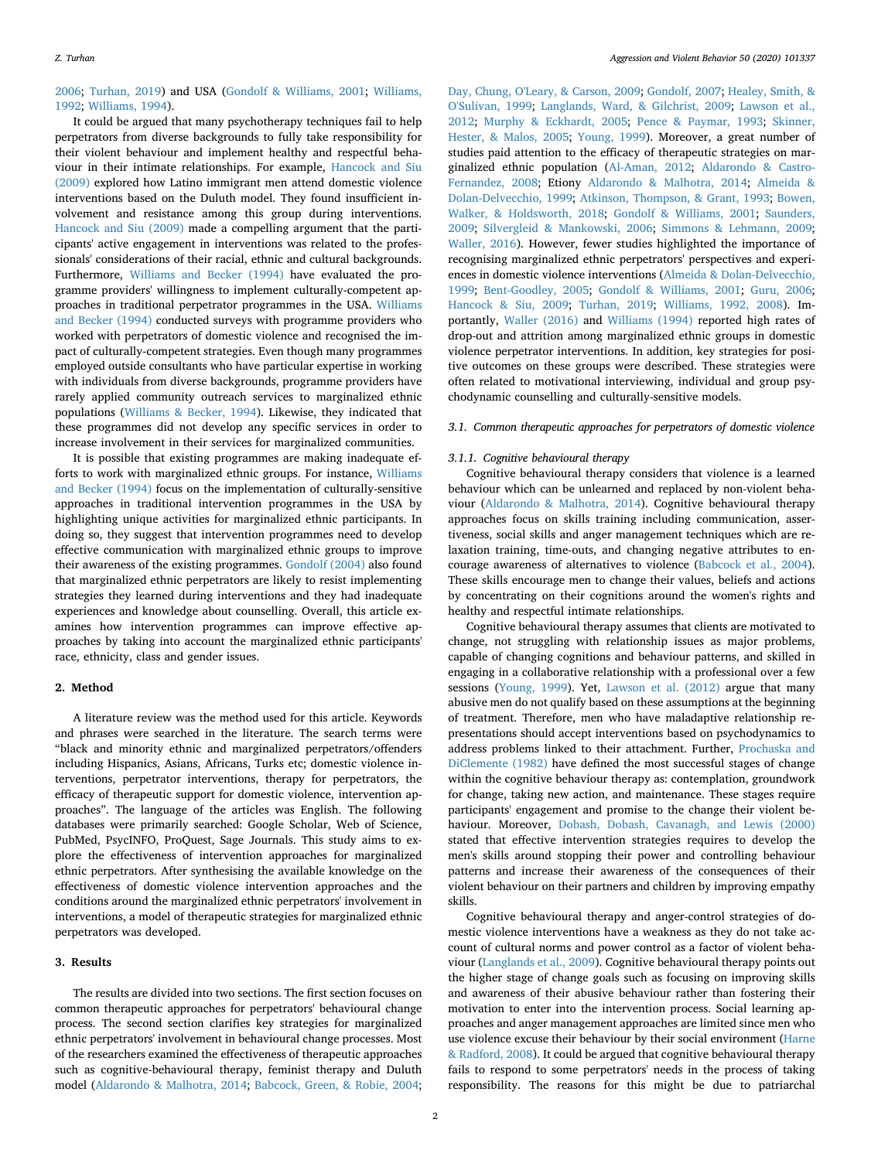#### [2006;](#page-6-4) [Turhan, 2019](#page-6-5)) and USA ([Gondolf & Williams, 2001;](#page-6-6) [Williams,](#page-6-7) [1992;](#page-6-7) [Williams, 1994](#page-6-8)).

It could be argued that many psychotherapy techniques fail to help perpetrators from diverse backgrounds to fully take responsibility for their violent behaviour and implement healthy and respectful behaviour in their intimate relationships. For example, [Hancock and Siu](#page-6-9) [\(2009\)](#page-6-9) explored how Latino immigrant men attend domestic violence interventions based on the Duluth model. They found insufficient involvement and resistance among this group during interventions. [Hancock and Siu \(2009\)](#page-6-9) made a compelling argument that the participants' active engagement in interventions was related to the professionals' considerations of their racial, ethnic and cultural backgrounds. Furthermore, [Williams and Becker \(1994\)](#page-6-10) have evaluated the programme providers' willingness to implement culturally-competent approaches in traditional perpetrator programmes in the USA. [Williams](#page-6-10) [and Becker \(1994\)](#page-6-10) conducted surveys with programme providers who worked with perpetrators of domestic violence and recognised the impact of culturally-competent strategies. Even though many programmes employed outside consultants who have particular expertise in working with individuals from diverse backgrounds, programme providers have rarely applied community outreach services to marginalized ethnic populations [\(Williams & Becker, 1994](#page-6-10)). Likewise, they indicated that these programmes did not develop any specific services in order to increase involvement in their services for marginalized communities.

It is possible that existing programmes are making inadequate efforts to work with marginalized ethnic groups. For instance, [Williams](#page-6-10) [and Becker \(1994\)](#page-6-10) focus on the implementation of culturally-sensitive approaches in traditional intervention programmes in the USA by highlighting unique activities for marginalized ethnic participants. In doing so, they suggest that intervention programmes need to develop effective communication with marginalized ethnic groups to improve their awareness of the existing programmes. [Gondolf \(2004\)](#page-6-11) also found that marginalized ethnic perpetrators are likely to resist implementing strategies they learned during interventions and they had inadequate experiences and knowledge about counselling. Overall, this article examines how intervention programmes can improve effective approaches by taking into account the marginalized ethnic participants' race, ethnicity, class and gender issues.

#### **2. Method**

A literature review was the method used for this article. Keywords and phrases were searched in the literature. The search terms were "black and minority ethnic and marginalized perpetrators/offenders including Hispanics, Asians, Africans, Turks etc; domestic violence interventions, perpetrator interventions, therapy for perpetrators, the efficacy of therapeutic support for domestic violence, intervention approaches". The language of the articles was English. The following databases were primarily searched: Google Scholar, Web of Science, PubMed, PsycINFO, ProQuest, Sage Journals. This study aims to explore the effectiveness of intervention approaches for marginalized ethnic perpetrators. After synthesising the available knowledge on the effectiveness of domestic violence intervention approaches and the conditions around the marginalized ethnic perpetrators' involvement in interventions, a model of therapeutic strategies for marginalized ethnic perpetrators was developed.

#### **3. Results**

The results are divided into two sections. The first section focuses on common therapeutic approaches for perpetrators' behavioural change process. The second section clarifies key strategies for marginalized ethnic perpetrators' involvement in behavioural change processes. Most of the researchers examined the effectiveness of therapeutic approaches such as cognitive-behavioural therapy, feminist therapy and Duluth model [\(Aldarondo & Malhotra, 2014](#page-5-2); [Babcock, Green, & Robie, 2004](#page-5-3);

[Day, Chung, O'Leary, & Carson, 2009](#page-5-4); [Gondolf, 2007](#page-6-12); [Healey, Smith, &](#page-6-13) [O'Sulivan, 1999;](#page-6-13) [Langlands, Ward, & Gilchrist, 2009](#page-6-14); [Lawson et al.,](#page-6-1) [2012;](#page-6-1) [Murphy & Eckhardt, 2005](#page-6-15); [Pence & Paymar, 1993](#page-6-16); [Skinner,](#page-6-17) [Hester, & Malos, 2005](#page-6-17); [Young, 1999\)](#page-6-18). Moreover, a great number of studies paid attention to the efficacy of therapeutic strategies on marginalized ethnic population ([Al-Aman, 2012;](#page-5-5) [Aldarondo & Castro-](#page-5-6)[Fernandez, 2008;](#page-5-6) Etiony [Aldarondo & Malhotra, 2014](#page-5-2); [Almeida &](#page-5-0) [Dolan-Delvecchio, 1999;](#page-5-0) [Atkinson, Thompson, & Grant, 1993;](#page-5-7) [Bowen,](#page-5-8) [Walker, & Holdsworth, 2018](#page-5-8); [Gondolf & Williams, 2001](#page-6-6); [Saunders,](#page-6-19) [2009;](#page-6-19) [Silvergleid & Mankowski, 2006;](#page-6-20) [Simmons & Lehmann, 2009](#page-6-21); [Waller, 2016](#page-6-22)). However, fewer studies highlighted the importance of recognising marginalized ethnic perpetrators' perspectives and experiences in domestic violence interventions [\(Almeida & Dolan-Delvecchio,](#page-5-0) [1999;](#page-5-0) [Bent-Goodley, 2005](#page-5-9); [Gondolf & Williams, 2001;](#page-6-6) [Guru, 2006](#page-6-4); [Hancock & Siu, 2009;](#page-6-9) [Turhan, 2019;](#page-6-5) [Williams, 1992, 2008](#page-6-7)). Importantly, [Waller \(2016\)](#page-6-22) and [Williams \(1994\)](#page-6-8) reported high rates of drop-out and attrition among marginalized ethnic groups in domestic violence perpetrator interventions. In addition, key strategies for positive outcomes on these groups were described. These strategies were often related to motivational interviewing, individual and group psychodynamic counselling and culturally-sensitive models.

#### *3.1. Common therapeutic approaches for perpetrators of domestic violence*

#### *3.1.1. Cognitive behavioural therapy*

Cognitive behavioural therapy considers that violence is a learned behaviour which can be unlearned and replaced by non-violent behaviour ([Aldarondo & Malhotra, 2014](#page-5-2)). Cognitive behavioural therapy approaches focus on skills training including communication, assertiveness, social skills and anger management techniques which are relaxation training, time-outs, and changing negative attributes to encourage awareness of alternatives to violence ([Babcock et al., 2004](#page-5-3)). These skills encourage men to change their values, beliefs and actions by concentrating on their cognitions around the women's rights and healthy and respectful intimate relationships.

Cognitive behavioural therapy assumes that clients are motivated to change, not struggling with relationship issues as major problems, capable of changing cognitions and behaviour patterns, and skilled in engaging in a collaborative relationship with a professional over a few sessions [\(Young, 1999](#page-6-18)). Yet, [Lawson et al. \(2012\)](#page-6-1) argue that many abusive men do not qualify based on these assumptions at the beginning of treatment. Therefore, men who have maladaptive relationship representations should accept interventions based on psychodynamics to address problems linked to their attachment. Further, [Prochaska and](#page-6-23) [DiClemente \(1982\)](#page-6-23) have defined the most successful stages of change within the cognitive behaviour therapy as: contemplation, groundwork for change, taking new action, and maintenance. These stages require participants' engagement and promise to the change their violent behaviour. Moreover, [Dobash, Dobash, Cavanagh, and Lewis \(2000\)](#page-5-10) stated that effective intervention strategies requires to develop the men's skills around stopping their power and controlling behaviour patterns and increase their awareness of the consequences of their violent behaviour on their partners and children by improving empathy skills.

Cognitive behavioural therapy and anger-control strategies of domestic violence interventions have a weakness as they do not take account of cultural norms and power control as a factor of violent behaviour [\(Langlands et al., 2009\)](#page-6-14). Cognitive behavioural therapy points out the higher stage of change goals such as focusing on improving skills and awareness of their abusive behaviour rather than fostering their motivation to enter into the intervention process. Social learning approaches and anger management approaches are limited since men who use violence excuse their behaviour by their social environment [\(Harne](#page-6-24) [& Radford, 2008](#page-6-24)). It could be argued that cognitive behavioural therapy fails to respond to some perpetrators' needs in the process of taking responsibility. The reasons for this might be due to patriarchal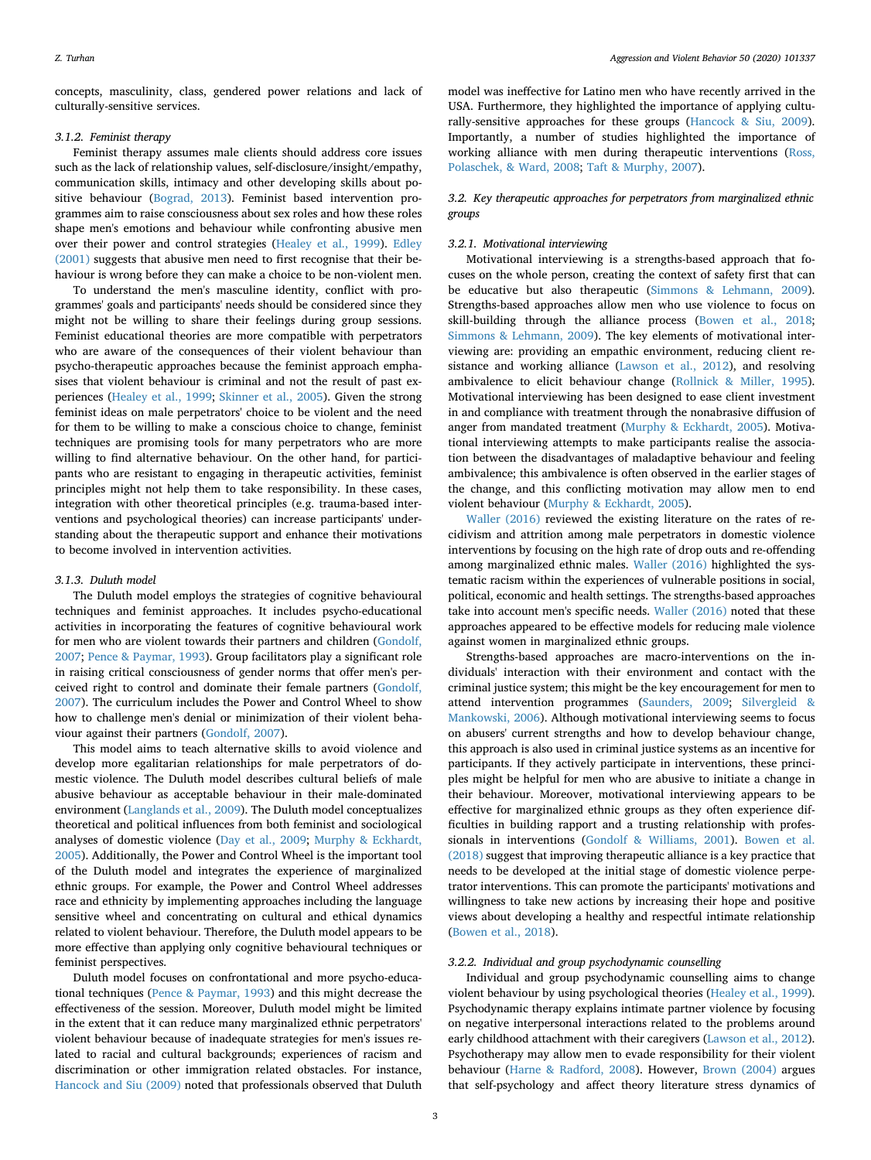concepts, masculinity, class, gendered power relations and lack of culturally-sensitive services.

#### *3.1.2. Feminist therapy*

Feminist therapy assumes male clients should address core issues such as the lack of relationship values, self-disclosure/insight/empathy, communication skills, intimacy and other developing skills about positive behaviour [\(Bograd, 2013](#page-5-11)). Feminist based intervention programmes aim to raise consciousness about sex roles and how these roles shape men's emotions and behaviour while confronting abusive men over their power and control strategies ([Healey et al., 1999](#page-6-13)). [Edley](#page-5-12) [\(2001\)](#page-5-12) suggests that abusive men need to first recognise that their behaviour is wrong before they can make a choice to be non-violent men.

To understand the men's masculine identity, conflict with programmes' goals and participants' needs should be considered since they might not be willing to share their feelings during group sessions. Feminist educational theories are more compatible with perpetrators who are aware of the consequences of their violent behaviour than psycho-therapeutic approaches because the feminist approach emphasises that violent behaviour is criminal and not the result of past experiences ([Healey et al., 1999;](#page-6-13) [Skinner et al., 2005](#page-6-17)). Given the strong feminist ideas on male perpetrators' choice to be violent and the need for them to be willing to make a conscious choice to change, feminist techniques are promising tools for many perpetrators who are more willing to find alternative behaviour. On the other hand, for participants who are resistant to engaging in therapeutic activities, feminist principles might not help them to take responsibility. In these cases, integration with other theoretical principles (e.g. trauma-based interventions and psychological theories) can increase participants' understanding about the therapeutic support and enhance their motivations to become involved in intervention activities.

#### *3.1.3. Duluth model*

The Duluth model employs the strategies of cognitive behavioural techniques and feminist approaches. It includes psycho-educational activities in incorporating the features of cognitive behavioural work for men who are violent towards their partners and children [\(Gondolf,](#page-6-12) [2007;](#page-6-12) [Pence & Paymar, 1993](#page-6-16)). Group facilitators play a significant role in raising critical consciousness of gender norms that offer men's perceived right to control and dominate their female partners [\(Gondolf,](#page-6-12) [2007\)](#page-6-12). The curriculum includes the Power and Control Wheel to show how to challenge men's denial or minimization of their violent behaviour against their partners ([Gondolf, 2007\)](#page-6-12).

This model aims to teach alternative skills to avoid violence and develop more egalitarian relationships for male perpetrators of domestic violence. The Duluth model describes cultural beliefs of male abusive behaviour as acceptable behaviour in their male-dominated environment ([Langlands et al., 2009\)](#page-6-14). The Duluth model conceptualizes theoretical and political influences from both feminist and sociological analyses of domestic violence ([Day et al., 2009;](#page-5-4) [Murphy & Eckhardt,](#page-6-15) [2005\)](#page-6-15). Additionally, the Power and Control Wheel is the important tool of the Duluth model and integrates the experience of marginalized ethnic groups. For example, the Power and Control Wheel addresses race and ethnicity by implementing approaches including the language sensitive wheel and concentrating on cultural and ethical dynamics related to violent behaviour. Therefore, the Duluth model appears to be more effective than applying only cognitive behavioural techniques or feminist perspectives.

Duluth model focuses on confrontational and more psycho-educational techniques ([Pence & Paymar, 1993\)](#page-6-16) and this might decrease the effectiveness of the session. Moreover, Duluth model might be limited in the extent that it can reduce many marginalized ethnic perpetrators' violent behaviour because of inadequate strategies for men's issues related to racial and cultural backgrounds; experiences of racism and discrimination or other immigration related obstacles. For instance, [Hancock and Siu \(2009\)](#page-6-9) noted that professionals observed that Duluth

model was ineffective for Latino men who have recently arrived in the USA. Furthermore, they highlighted the importance of applying culturally-sensitive approaches for these groups [\(Hancock & Siu, 2009](#page-6-9)). Importantly, a number of studies highlighted the importance of working alliance with men during therapeutic interventions ([Ross,](#page-6-25) [Polaschek, & Ward, 2008;](#page-6-25) [Taft & Murphy, 2007](#page-6-26)).

## *3.2. Key therapeutic approaches for perpetrators from marginalized ethnic groups*

#### *3.2.1. Motivational interviewing*

Motivational interviewing is a strengths-based approach that focuses on the whole person, creating the context of safety first that can be educative but also therapeutic [\(Simmons & Lehmann, 2009](#page-6-21)). Strengths-based approaches allow men who use violence to focus on skill-building through the alliance process [\(Bowen et al., 2018](#page-5-8); [Simmons & Lehmann, 2009](#page-6-21)). The key elements of motivational interviewing are: providing an empathic environment, reducing client resistance and working alliance ([Lawson et al., 2012\)](#page-6-1), and resolving ambivalence to elicit behaviour change [\(Rollnick & Miller, 1995](#page-6-27)). Motivational interviewing has been designed to ease client investment in and compliance with treatment through the nonabrasive diffusion of anger from mandated treatment ([Murphy & Eckhardt, 2005](#page-6-15)). Motivational interviewing attempts to make participants realise the association between the disadvantages of maladaptive behaviour and feeling ambivalence; this ambivalence is often observed in the earlier stages of the change, and this conflicting motivation may allow men to end violent behaviour ([Murphy & Eckhardt, 2005](#page-6-15)).

[Waller \(2016\)](#page-6-22) reviewed the existing literature on the rates of recidivism and attrition among male perpetrators in domestic violence interventions by focusing on the high rate of drop outs and re-offending among marginalized ethnic males. [Waller \(2016\)](#page-6-22) highlighted the systematic racism within the experiences of vulnerable positions in social, political, economic and health settings. The strengths-based approaches take into account men's specific needs. [Waller \(2016\)](#page-6-22) noted that these approaches appeared to be effective models for reducing male violence against women in marginalized ethnic groups.

Strengths-based approaches are macro-interventions on the individuals' interaction with their environment and contact with the criminal justice system; this might be the key encouragement for men to attend intervention programmes ([Saunders, 2009;](#page-6-19) [Silvergleid &](#page-6-20) [Mankowski, 2006](#page-6-20)). Although motivational interviewing seems to focus on abusers' current strengths and how to develop behaviour change, this approach is also used in criminal justice systems as an incentive for participants. If they actively participate in interventions, these principles might be helpful for men who are abusive to initiate a change in their behaviour. Moreover, motivational interviewing appears to be effective for marginalized ethnic groups as they often experience difficulties in building rapport and a trusting relationship with professionals in interventions ([Gondolf & Williams, 2001\)](#page-6-6). [Bowen et al.](#page-5-8) [\(2018\)](#page-5-8) suggest that improving therapeutic alliance is a key practice that needs to be developed at the initial stage of domestic violence perpetrator interventions. This can promote the participants' motivations and willingness to take new actions by increasing their hope and positive views about developing a healthy and respectful intimate relationship ([Bowen et al., 2018\)](#page-5-8).

#### *3.2.2. Individual and group psychodynamic counselling*

Individual and group psychodynamic counselling aims to change violent behaviour by using psychological theories [\(Healey et al., 1999](#page-6-13)). Psychodynamic therapy explains intimate partner violence by focusing on negative interpersonal interactions related to the problems around early childhood attachment with their caregivers ([Lawson et al., 2012](#page-6-1)). Psychotherapy may allow men to evade responsibility for their violent behaviour ([Harne & Radford, 2008\)](#page-6-24). However, [Brown \(2004\)](#page-5-13) argues that self-psychology and affect theory literature stress dynamics of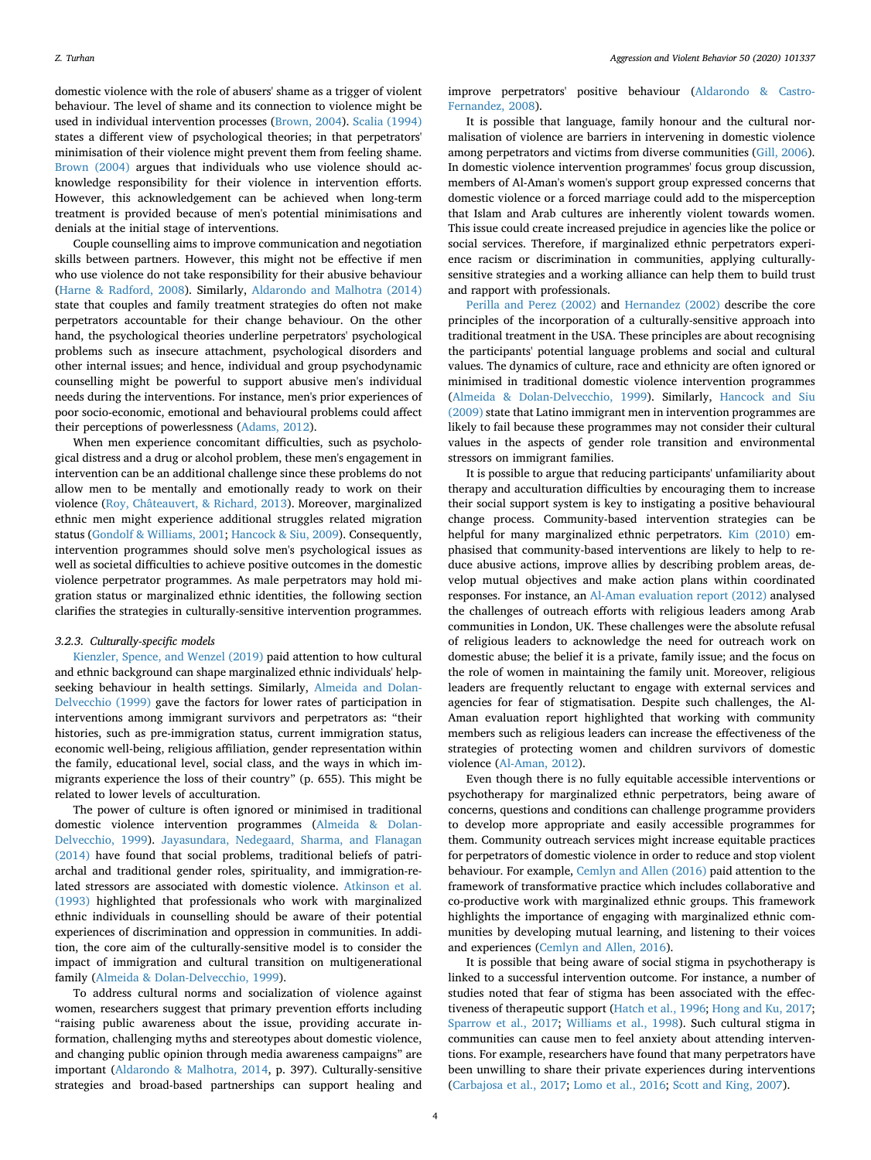domestic violence with the role of abusers' shame as a trigger of violent behaviour. The level of shame and its connection to violence might be used in individual intervention processes [\(Brown, 2004\)](#page-5-13). [Scalia \(1994\)](#page-6-28) states a different view of psychological theories; in that perpetrators' minimisation of their violence might prevent them from feeling shame. [Brown \(2004\)](#page-5-13) argues that individuals who use violence should acknowledge responsibility for their violence in intervention efforts. However, this acknowledgement can be achieved when long-term treatment is provided because of men's potential minimisations and denials at the initial stage of interventions.

Couple counselling aims to improve communication and negotiation skills between partners. However, this might not be effective if men who use violence do not take responsibility for their abusive behaviour ([Harne & Radford, 2008](#page-6-24)). Similarly, [Aldarondo and Malhotra \(2014\)](#page-5-2) state that couples and family treatment strategies do often not make perpetrators accountable for their change behaviour. On the other hand, the psychological theories underline perpetrators' psychological problems such as insecure attachment, psychological disorders and other internal issues; and hence, individual and group psychodynamic counselling might be powerful to support abusive men's individual needs during the interventions. For instance, men's prior experiences of poor socio-economic, emotional and behavioural problems could affect their perceptions of powerlessness [\(Adams, 2012\)](#page-5-14).

When men experience concomitant difficulties, such as psychological distress and a drug or alcohol problem, these men's engagement in intervention can be an additional challenge since these problems do not allow men to be mentally and emotionally ready to work on their violence [\(Roy, Châteauvert, & Richard, 2013](#page-6-29)). Moreover, marginalized ethnic men might experience additional struggles related migration status ([Gondolf & Williams, 2001;](#page-6-6) [Hancock & Siu, 2009\)](#page-6-9). Consequently, intervention programmes should solve men's psychological issues as well as societal difficulties to achieve positive outcomes in the domestic violence perpetrator programmes. As male perpetrators may hold migration status or marginalized ethnic identities, the following section clarifies the strategies in culturally-sensitive intervention programmes.

#### *3.2.3. Culturally-specific models*

[Kienzler, Spence, and Wenzel \(2019\)](#page-6-30) paid attention to how cultural and ethnic background can shape marginalized ethnic individuals' helpseeking behaviour in health settings. Similarly, [Almeida and Dolan-](#page-5-0)[Delvecchio \(1999\)](#page-5-0) gave the factors for lower rates of participation in interventions among immigrant survivors and perpetrators as: "their histories, such as pre-immigration status, current immigration status, economic well-being, religious affiliation, gender representation within the family, educational level, social class, and the ways in which immigrants experience the loss of their country" (p. 655). This might be related to lower levels of acculturation.

The power of culture is often ignored or minimised in traditional domestic violence intervention programmes [\(Almeida & Dolan-](#page-5-0)[Delvecchio, 1999\)](#page-5-0). [Jayasundara, Nedegaard, Sharma, and Flanagan](#page-6-31) [\(2014\)](#page-6-31) have found that social problems, traditional beliefs of patriarchal and traditional gender roles, spirituality, and immigration-related stressors are associated with domestic violence. [Atkinson et al.](#page-5-7) [\(1993\)](#page-5-7) highlighted that professionals who work with marginalized ethnic individuals in counselling should be aware of their potential experiences of discrimination and oppression in communities. In addition, the core aim of the culturally-sensitive model is to consider the impact of immigration and cultural transition on multigenerational family ([Almeida & Dolan-Delvecchio, 1999\)](#page-5-0).

To address cultural norms and socialization of violence against women, researchers suggest that primary prevention efforts including "raising public awareness about the issue, providing accurate information, challenging myths and stereotypes about domestic violence, and changing public opinion through media awareness campaigns" are important ([Aldarondo & Malhotra, 2014](#page-5-2), p. 397). Culturally-sensitive strategies and broad-based partnerships can support healing and

improve perpetrators' positive behaviour ([Aldarondo & Castro-](#page-5-6)[Fernandez, 2008\)](#page-5-6).

It is possible that language, family honour and the cultural normalisation of violence are barriers in intervening in domestic violence among perpetrators and victims from diverse communities [\(Gill, 2006](#page-6-32)). In domestic violence intervention programmes' focus group discussion, members of Al-Aman's women's support group expressed concerns that domestic violence or a forced marriage could add to the misperception that Islam and Arab cultures are inherently violent towards women. This issue could create increased prejudice in agencies like the police or social services. Therefore, if marginalized ethnic perpetrators experience racism or discrimination in communities, applying culturallysensitive strategies and a working alliance can help them to build trust and rapport with professionals.

[Perilla and Perez \(2002\)](#page-6-33) and [Hernandez \(2002\)](#page-6-34) describe the core principles of the incorporation of a culturally-sensitive approach into traditional treatment in the USA. These principles are about recognising the participants' potential language problems and social and cultural values. The dynamics of culture, race and ethnicity are often ignored or minimised in traditional domestic violence intervention programmes ([Almeida & Dolan-Delvecchio, 1999\)](#page-5-0). Similarly, [Hancock and Siu](#page-6-9) [\(2009\)](#page-6-9) state that Latino immigrant men in intervention programmes are likely to fail because these programmes may not consider their cultural values in the aspects of gender role transition and environmental stressors on immigrant families.

It is possible to argue that reducing participants' unfamiliarity about therapy and acculturation difficulties by encouraging them to increase their social support system is key to instigating a positive behavioural change process. Community-based intervention strategies can be helpful for many marginalized ethnic perpetrators. [Kim \(2010\)](#page-6-35) emphasised that community-based interventions are likely to help to reduce abusive actions, improve allies by describing problem areas, develop mutual objectives and make action plans within coordinated responses. For instance, an [Al-Aman evaluation report \(2012\)](#page-5-5) analysed the challenges of outreach efforts with religious leaders among Arab communities in London, UK. These challenges were the absolute refusal of religious leaders to acknowledge the need for outreach work on domestic abuse; the belief it is a private, family issue; and the focus on the role of women in maintaining the family unit. Moreover, religious leaders are frequently reluctant to engage with external services and agencies for fear of stigmatisation. Despite such challenges, the Al-Aman evaluation report highlighted that working with community members such as religious leaders can increase the effectiveness of the strategies of protecting women and children survivors of domestic violence ([Al-Aman, 2012](#page-5-5)).

Even though there is no fully equitable accessible interventions or psychotherapy for marginalized ethnic perpetrators, being aware of concerns, questions and conditions can challenge programme providers to develop more appropriate and easily accessible programmes for them. Community outreach services might increase equitable practices for perpetrators of domestic violence in order to reduce and stop violent behaviour. For example, [Cemlyn and Allen \(2016\)](#page-5-15) paid attention to the framework of transformative practice which includes collaborative and co-productive work with marginalized ethnic groups. This framework highlights the importance of engaging with marginalized ethnic communities by developing mutual learning, and listening to their voices and experiences [\(Cemlyn and Allen, 2016\)](#page-5-15).

It is possible that being aware of social stigma in psychotherapy is linked to a successful intervention outcome. For instance, a number of studies noted that fear of stigma has been associated with the effectiveness of therapeutic support ([Hatch et al., 1996;](#page-6-36) [Hong and Ku, 2017](#page-6-37); [Sparrow et al., 2017;](#page-6-38) [Williams et al., 1998](#page-6-39)). Such cultural stigma in communities can cause men to feel anxiety about attending interventions. For example, researchers have found that many perpetrators have been unwilling to share their private experiences during interventions ([Carbajosa et al., 2017;](#page-5-16) [Lomo et al., 2016;](#page-6-40) [Scott and King, 2007](#page-6-41)).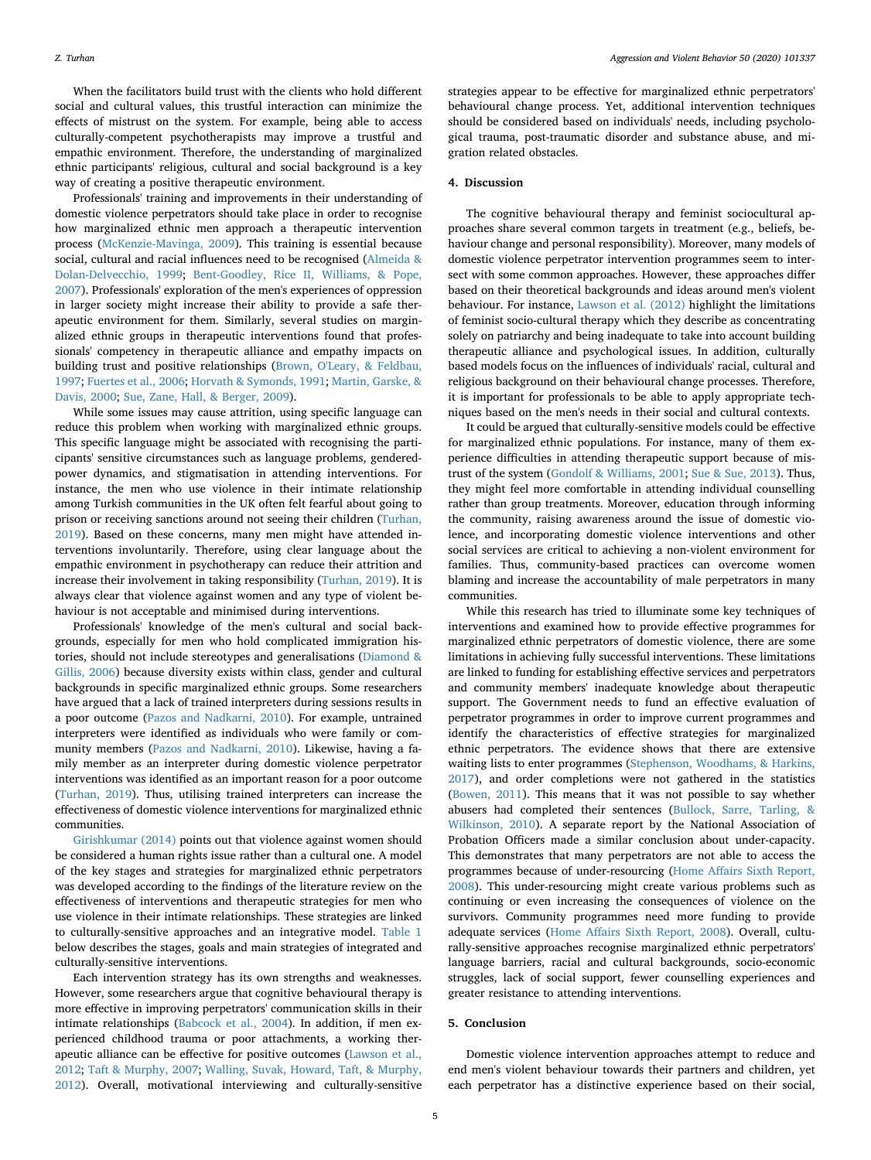When the facilitators build trust with the clients who hold different social and cultural values, this trustful interaction can minimize the effects of mistrust on the system. For example, being able to access culturally-competent psychotherapists may improve a trustful and empathic environment. Therefore, the understanding of marginalized ethnic participants' religious, cultural and social background is a key way of creating a positive therapeutic environment.

Professionals' training and improvements in their understanding of domestic violence perpetrators should take place in order to recognise how marginalized ethnic men approach a therapeutic intervention process ([McKenzie-Mavinga, 2009](#page-6-42)). This training is essential because social, cultural and racial influences need to be recognised [\(Almeida &](#page-5-0) [Dolan-Delvecchio, 1999;](#page-5-0) [Bent-Goodley, Rice II, Williams, & Pope,](#page-5-17) [2007\)](#page-5-17). Professionals' exploration of the men's experiences of oppression in larger society might increase their ability to provide a safe therapeutic environment for them. Similarly, several studies on marginalized ethnic groups in therapeutic interventions found that professionals' competency in therapeutic alliance and empathy impacts on building trust and positive relationships ([Brown, O'Leary, & Feldbau,](#page-5-18) [1997;](#page-5-18) [Fuertes et al., 2006;](#page-5-19) [Horvath & Symonds, 1991;](#page-6-43) [Martin, Garske, &](#page-6-44) [Davis, 2000;](#page-6-44) [Sue, Zane, Hall, & Berger, 2009\)](#page-6-45).

While some issues may cause attrition, using specific language can reduce this problem when working with marginalized ethnic groups. This specific language might be associated with recognising the participants' sensitive circumstances such as language problems, genderedpower dynamics, and stigmatisation in attending interventions. For instance, the men who use violence in their intimate relationship among Turkish communities in the UK often felt fearful about going to prison or receiving sanctions around not seeing their children ([Turhan,](#page-6-5) [2019\)](#page-6-5). Based on these concerns, many men might have attended interventions involuntarily. Therefore, using clear language about the empathic environment in psychotherapy can reduce their attrition and increase their involvement in taking responsibility [\(Turhan, 2019](#page-6-5)). It is always clear that violence against women and any type of violent behaviour is not acceptable and minimised during interventions.

Professionals' knowledge of the men's cultural and social backgrounds, especially for men who hold complicated immigration histories, should not include stereotypes and generalisations [\(Diamond &](#page-5-20) [Gillis, 2006\)](#page-5-20) because diversity exists within class, gender and cultural backgrounds in specific marginalized ethnic groups. Some researchers have argued that a lack of trained interpreters during sessions results in a poor outcome ([Pazos and Nadkarni, 2010](#page-6-46)). For example, untrained interpreters were identified as individuals who were family or community members [\(Pazos and Nadkarni, 2010](#page-6-46)). Likewise, having a family member as an interpreter during domestic violence perpetrator interventions was identified as an important reason for a poor outcome ([Turhan, 2019](#page-6-5)). Thus, utilising trained interpreters can increase the effectiveness of domestic violence interventions for marginalized ethnic communities.

[Girishkumar \(2014\)](#page-6-47) points out that violence against women should be considered a human rights issue rather than a cultural one. A model of the key stages and strategies for marginalized ethnic perpetrators was developed according to the findings of the literature review on the effectiveness of interventions and therapeutic strategies for men who use violence in their intimate relationships. These strategies are linked to culturally-sensitive approaches and an integrative model. [Table 1](#page-5-21) below describes the stages, goals and main strategies of integrated and culturally-sensitive interventions.

Each intervention strategy has its own strengths and weaknesses. However, some researchers argue that cognitive behavioural therapy is more effective in improving perpetrators' communication skills in their intimate relationships [\(Babcock et al., 2004\)](#page-5-3). In addition, if men experienced childhood trauma or poor attachments, a working therapeutic alliance can be effective for positive outcomes ([Lawson et al.,](#page-6-1) [2012;](#page-6-1) [Taft & Murphy, 2007;](#page-6-26) [Walling, Suvak, Howard, Taft, & Murphy,](#page-6-48) [2012\)](#page-6-48). Overall, motivational interviewing and culturally-sensitive

strategies appear to be effective for marginalized ethnic perpetrators' behavioural change process. Yet, additional intervention techniques should be considered based on individuals' needs, including psychological trauma, post-traumatic disorder and substance abuse, and migration related obstacles.

#### **4. Discussion**

The cognitive behavioural therapy and feminist sociocultural approaches share several common targets in treatment (e.g., beliefs, behaviour change and personal responsibility). Moreover, many models of domestic violence perpetrator intervention programmes seem to intersect with some common approaches. However, these approaches differ based on their theoretical backgrounds and ideas around men's violent behaviour. For instance, [Lawson et al. \(2012\)](#page-6-1) highlight the limitations of feminist socio-cultural therapy which they describe as concentrating solely on patriarchy and being inadequate to take into account building therapeutic alliance and psychological issues. In addition, culturally based models focus on the influences of individuals' racial, cultural and religious background on their behavioural change processes. Therefore, it is important for professionals to be able to apply appropriate techniques based on the men's needs in their social and cultural contexts.

It could be argued that culturally-sensitive models could be effective for marginalized ethnic populations. For instance, many of them experience difficulties in attending therapeutic support because of mistrust of the system ([Gondolf & Williams, 2001;](#page-6-6) [Sue & Sue, 2013\)](#page-6-49). Thus, they might feel more comfortable in attending individual counselling rather than group treatments. Moreover, education through informing the community, raising awareness around the issue of domestic violence, and incorporating domestic violence interventions and other social services are critical to achieving a non-violent environment for families. Thus, community-based practices can overcome women blaming and increase the accountability of male perpetrators in many communities.

While this research has tried to illuminate some key techniques of interventions and examined how to provide effective programmes for marginalized ethnic perpetrators of domestic violence, there are some limitations in achieving fully successful interventions. These limitations are linked to funding for establishing effective services and perpetrators and community members' inadequate knowledge about therapeutic support. The Government needs to fund an effective evaluation of perpetrator programmes in order to improve current programmes and identify the characteristics of effective strategies for marginalized ethnic perpetrators. The evidence shows that there are extensive waiting lists to enter programmes [\(Stephenson, Woodhams, & Harkins,](#page-6-50) [2017\)](#page-6-50), and order completions were not gathered in the statistics ([Bowen, 2011](#page-5-22)). This means that it was not possible to say whether abusers had completed their sentences ([Bullock, Sarre, Tarling, &](#page-5-23) [Wilkinson, 2010](#page-5-23)). A separate report by the National Association of Probation Officers made a similar conclusion about under-capacity. This demonstrates that many perpetrators are not able to access the programmes because of under-resourcing [\(Home Affairs Sixth Report,](#page-6-51) [2008\)](#page-6-51). This under-resourcing might create various problems such as continuing or even increasing the consequences of violence on the survivors. Community programmes need more funding to provide adequate services [\(Home Affairs Sixth Report, 2008\)](#page-6-51). Overall, culturally-sensitive approaches recognise marginalized ethnic perpetrators' language barriers, racial and cultural backgrounds, socio-economic struggles, lack of social support, fewer counselling experiences and greater resistance to attending interventions.

#### **5. Conclusion**

Domestic violence intervention approaches attempt to reduce and end men's violent behaviour towards their partners and children, yet each perpetrator has a distinctive experience based on their social,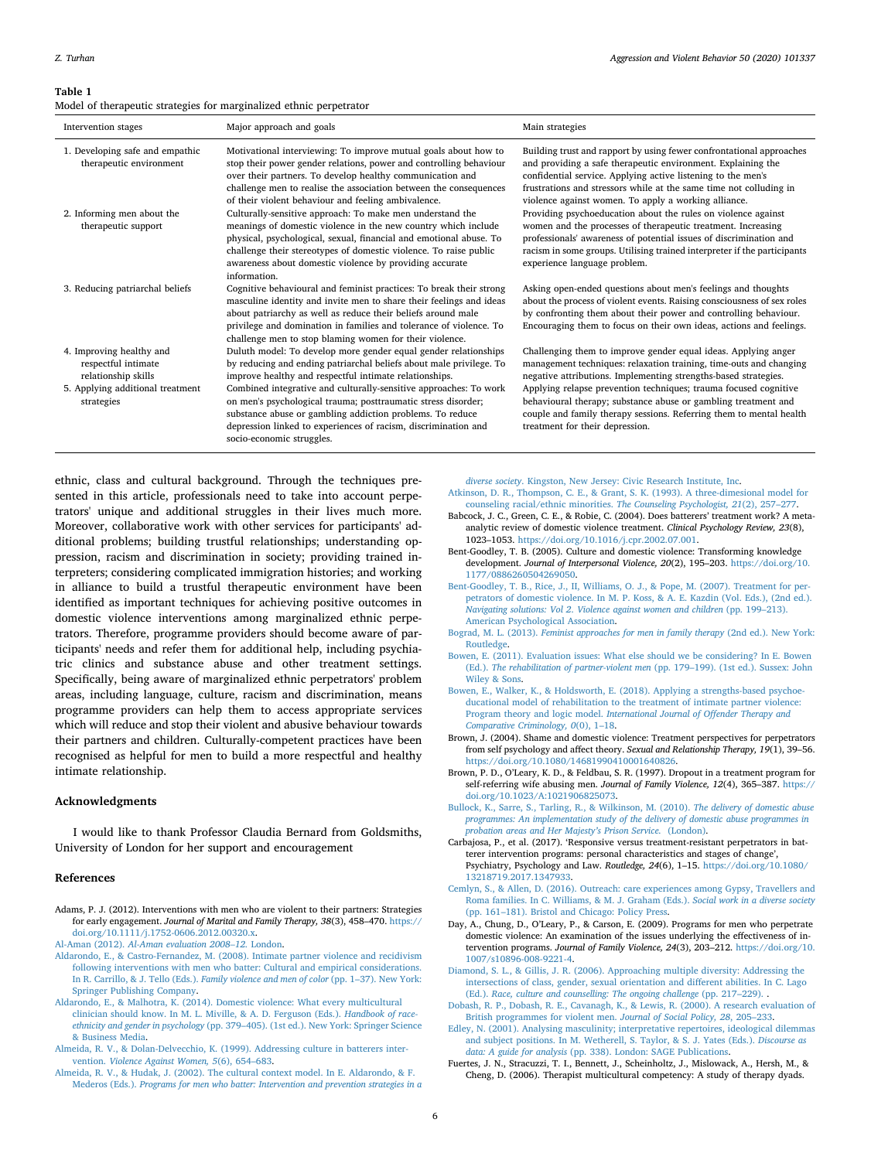#### <span id="page-5-21"></span>**Table 1**

Model of therapeutic strategies for marginalized ethnic perpetrator

| Intervention stages                                                    | Major approach and goals                                                                                                                                                                                                                                                                                                                          | Main strategies                                                                                                                                                                                                                                                                                                                    |
|------------------------------------------------------------------------|---------------------------------------------------------------------------------------------------------------------------------------------------------------------------------------------------------------------------------------------------------------------------------------------------------------------------------------------------|------------------------------------------------------------------------------------------------------------------------------------------------------------------------------------------------------------------------------------------------------------------------------------------------------------------------------------|
| 1. Developing safe and empathic<br>therapeutic environment             | Motivational interviewing: To improve mutual goals about how to<br>stop their power gender relations, power and controlling behaviour<br>over their partners. To develop healthy communication and<br>challenge men to realise the association between the consequences<br>of their violent behaviour and feeling ambivalence.                    | Building trust and rapport by using fewer confrontational approaches<br>and providing a safe therapeutic environment. Explaining the<br>confidential service. Applying active listening to the men's<br>frustrations and stressors while at the same time not colluding in<br>violence against women. To apply a working alliance. |
| 2. Informing men about the<br>therapeutic support                      | Culturally-sensitive approach: To make men understand the<br>meanings of domestic violence in the new country which include<br>physical, psychological, sexual, financial and emotional abuse. To<br>challenge their stereotypes of domestic violence. To raise public<br>awareness about domestic violence by providing accurate<br>information. | Providing psychoeducation about the rules on violence against<br>women and the processes of therapeutic treatment. Increasing<br>professionals' awareness of potential issues of discrimination and<br>racism in some groups. Utilising trained interpreter if the participants<br>experience language problem.                    |
| 3. Reducing patriarchal beliefs                                        | Cognitive behavioural and feminist practices: To break their strong<br>masculine identity and invite men to share their feelings and ideas<br>about patriarchy as well as reduce their beliefs around male<br>privilege and domination in families and tolerance of violence. To<br>challenge men to stop blaming women for their violence.       | Asking open-ended questions about men's feelings and thoughts<br>about the process of violent events. Raising consciousness of sex roles<br>by confronting them about their power and controlling behaviour.<br>Encouraging them to focus on their own ideas, actions and feelings.                                                |
| 4. Improving healthy and<br>respectful intimate<br>relationship skills | Duluth model: To develop more gender equal gender relationships<br>by reducing and ending patriarchal beliefs about male privilege. To<br>improve healthy and respectful intimate relationships.                                                                                                                                                  | Challenging them to improve gender equal ideas. Applying anger<br>management techniques: relaxation training, time-outs and changing<br>negative attributions. Implementing strengths-based strategies.                                                                                                                            |
| 5. Applying additional treatment<br>strategies                         | Combined integrative and culturally-sensitive approaches: To work<br>on men's psychological trauma; posttraumatic stress disorder;<br>substance abuse or gambling addiction problems. To reduce<br>depression linked to experiences of racism, discrimination and<br>socio-economic struggles.                                                    | Applying relapse prevention techniques; trauma focused cognitive<br>behavioural therapy; substance abuse or gambling treatment and<br>couple and family therapy sessions. Referring them to mental health<br>treatment for their depression.                                                                                       |

ethnic, class and cultural background. Through the techniques presented in this article, professionals need to take into account perpetrators' unique and additional struggles in their lives much more. Moreover, collaborative work with other services for participants' additional problems; building trustful relationships; understanding oppression, racism and discrimination in society; providing trained interpreters; considering complicated immigration histories; and working in alliance to build a trustful therapeutic environment have been identified as important techniques for achieving positive outcomes in domestic violence interventions among marginalized ethnic perpetrators. Therefore, programme providers should become aware of participants' needs and refer them for additional help, including psychiatric clinics and substance abuse and other treatment settings. Specifically, being aware of marginalized ethnic perpetrators' problem areas, including language, culture, racism and discrimination, means programme providers can help them to access appropriate services which will reduce and stop their violent and abusive behaviour towards their partners and children. Culturally-competent practices have been recognised as helpful for men to build a more respectful and healthy intimate relationship.

#### **Acknowledgments**

I would like to thank Professor Claudia Bernard from Goldsmiths, University of London for her support and encouragement

#### **References**

<span id="page-5-14"></span>Adams, P. J. (2012). Interventions with men who are violent to their partners: Strategies for early engagement. *Journal of Marital and Family Therapy, 38*(3), 458–470. [https://](https://doi.org/10.1111/j.1752-0606.2012.00320.x) [doi.org/10.1111/j.1752-0606.2012.00320.x.](https://doi.org/10.1111/j.1752-0606.2012.00320.x)

<span id="page-5-5"></span>Al-Aman (2012). *[Al-Aman evaluation 2008–12.](http://refhub.elsevier.com/S1359-1789(18)30285-4/rf0010)* London.

- <span id="page-5-6"></span>[Aldarondo, E., & Castro-Fernandez, M. \(2008\). Intimate partner violence and recidivism](http://refhub.elsevier.com/S1359-1789(18)30285-4/rf0015) [following interventions with men who batter: Cultural and empirical considerations.](http://refhub.elsevier.com/S1359-1789(18)30285-4/rf0015) In R. Carrillo, & J. Tello (Eds.). *[Family violence and men of color](http://refhub.elsevier.com/S1359-1789(18)30285-4/rf0015)* (pp. 1–37). New York: [Springer Publishing Company](http://refhub.elsevier.com/S1359-1789(18)30285-4/rf0015).
- <span id="page-5-2"></span>[Aldarondo, E., & Malhotra, K. \(2014\). Domestic violence: What every multicultural](http://refhub.elsevier.com/S1359-1789(18)30285-4/rf0020) [clinician should know. In M. L. Miville, & A. D. Ferguson \(Eds.\).](http://refhub.elsevier.com/S1359-1789(18)30285-4/rf0020) *Handbook of raceethnicity and gender in psychology* [\(pp. 379–405\). \(1st ed.\). New York: Springer Science](http://refhub.elsevier.com/S1359-1789(18)30285-4/rf0020) [& Business Media.](http://refhub.elsevier.com/S1359-1789(18)30285-4/rf0020)
- <span id="page-5-0"></span>[Almeida, R. V., & Dolan-Delvecchio, K. \(1999\). Addressing culture in batterers inter](http://refhub.elsevier.com/S1359-1789(18)30285-4/rf0025)vention. *[Violence Against Women, 5](http://refhub.elsevier.com/S1359-1789(18)30285-4/rf0025)*(6), 654–683.
- <span id="page-5-1"></span>[Almeida, R. V., & Hudak, J. \(2002\). The cultural context model. In E. Aldarondo, & F.](http://refhub.elsevier.com/S1359-1789(18)30285-4/rf0030) Mederos (Eds.). *[Programs for men who batter: Intervention and prevention strategies in a](http://refhub.elsevier.com/S1359-1789(18)30285-4/rf0030)*

<span id="page-5-7"></span>*diverse society*[. Kingston, New Jersey: Civic Research Institute, Inc.](http://refhub.elsevier.com/S1359-1789(18)30285-4/rf0030) [Atkinson, D. R., Thompson, C. E., & Grant, S. K. \(1993\). A three-dimesional model for](http://refhub.elsevier.com/S1359-1789(18)30285-4/rf0035)

- <span id="page-5-3"></span>[counseling racial/ethnic minorities.](http://refhub.elsevier.com/S1359-1789(18)30285-4/rf0035) *The Counseling Psychologist, 21*(2), 257–277. Babcock, J. C., Green, C. E., & Robie, C. (2004). Does batterers' treatment work? A metaanalytic review of domestic violence treatment. *Clinical Psychology Review, 23*(8),
- <span id="page-5-9"></span>1023–1053. [https://doi.org/10.1016/j.cpr.2002.07.001.](https://doi.org/10.1016/j.cpr.2002.07.001) Bent-Goodley, T. B. (2005). Culture and domestic violence: Transforming knowledge development. *Journal of Interpersonal Violence, 20*(2), 195–203. [https://doi.org/10.](https://doi.org/10.1177/0886260504269050)
- <span id="page-5-17"></span>[1177/0886260504269050](https://doi.org/10.1177/0886260504269050). [Bent-Goodley, T. B., Rice, J., II, Williams, O. J., & Pope, M. \(2007\). Treatment for per](http://refhub.elsevier.com/S1359-1789(18)30285-4/rf0050)[petrators of domestic violence. In M. P. Koss, & A. E. Kazdin \(Vol. Eds.\), \(2nd ed.\).](http://refhub.elsevier.com/S1359-1789(18)30285-4/rf0050) *Navigating solutions: Vol 2*. *[Violence against women and children](http://refhub.elsevier.com/S1359-1789(18)30285-4/rf0050)* (pp. 199–213). [American Psychological Association.](http://refhub.elsevier.com/S1359-1789(18)30285-4/rf0050)
- <span id="page-5-11"></span>Bograd, M. L. (2013). *[Feminist approaches for men in family therapy](http://refhub.elsevier.com/S1359-1789(18)30285-4/rf0055)* (2nd ed.). New York: [Routledge](http://refhub.elsevier.com/S1359-1789(18)30285-4/rf0055).
- <span id="page-5-22"></span>[Bowen, E. \(2011\). Evaluation issues: What else should we be considering? In E. Bowen](http://refhub.elsevier.com/S1359-1789(18)30285-4/rf0060) (Ed.). *[The rehabilitation of partner-violent men](http://refhub.elsevier.com/S1359-1789(18)30285-4/rf0060)* (pp. 179–199). (1st ed.). Sussex: John [Wiley & Sons](http://refhub.elsevier.com/S1359-1789(18)30285-4/rf0060).
- <span id="page-5-8"></span>[Bowen, E., Walker, K., & Holdsworth, E. \(2018\). Applying a strengths-based psychoe](http://refhub.elsevier.com/S1359-1789(18)30285-4/rf0065)[ducational model of rehabilitation to the treatment of intimate partner violence:](http://refhub.elsevier.com/S1359-1789(18)30285-4/rf0065) Program theory and logic model. *[International Journal of Offender Therapy and](http://refhub.elsevier.com/S1359-1789(18)30285-4/rf0065) [Comparative Criminology, 0](http://refhub.elsevier.com/S1359-1789(18)30285-4/rf0065)*(0), 1–18.
- <span id="page-5-13"></span>Brown, J. (2004). Shame and domestic violence: Treatment perspectives for perpetrators from self psychology and affect theory. *Sexual and Relationship Therapy, 19*(1), 39–56. <https://doi.org/10.1080/14681990410001640826>.
- <span id="page-5-18"></span>Brown, P. D., O'Leary, K. D., & Feldbau, S. R. (1997). Dropout in a treatment program for self-referring wife abusing men. *Journal of Family Violence, 12*(4), 365–387. [https://](https://doi.org/10.1023/A:1021906825073) [doi.org/10.1023/A:1021906825073.](https://doi.org/10.1023/A:1021906825073)
- <span id="page-5-23"></span>[Bullock, K., Sarre, S., Tarling, R., & Wilkinson, M. \(2010\).](http://refhub.elsevier.com/S1359-1789(18)30285-4/rf0080) *The delivery of domestic abuse [programmes: An implementation study of the delivery of domestic abuse programmes in](http://refhub.elsevier.com/S1359-1789(18)30285-4/rf0080) [probation areas and Her Majesty's Prison Service.](http://refhub.elsevier.com/S1359-1789(18)30285-4/rf0080)* (London).
- <span id="page-5-16"></span>Carbajosa, P., et al. (2017). 'Responsive versus treatment-resistant perpetrators in batterer intervention programs: personal characteristics and stages of change', Psychiatry, Psychology and Law. *Routledge, 24*(6), 1–15. [https://doi.org/10.1080/](https://doi.org/10.1080/13218719.2017.1347933) [13218719.2017.1347933](https://doi.org/10.1080/13218719.2017.1347933).
- <span id="page-5-15"></span>[Cemlyn, S., & Allen, D. \(2016\). Outreach: care experiences among Gypsy, Travellers and](http://refhub.elsevier.com/S1359-1789(18)30285-4/rf5005) [Roma families. In C. Williams, & M. J. Graham \(Eds.\).](http://refhub.elsevier.com/S1359-1789(18)30285-4/rf5005) *Social work in a diverse society* [\(pp. 161–181\). Bristol and Chicago: Policy Press](http://refhub.elsevier.com/S1359-1789(18)30285-4/rf5005).
- <span id="page-5-4"></span>Day, A., Chung, D., O'Leary, P., & Carson, E. (2009). Programs for men who perpetrate domestic violence: An examination of the issues underlying the effectiveness of intervention programs. *Journal of Family Violence, 24*(3), 203–212. [https://doi.org/10.](https://doi.org/10.1007/s10896-008-9221-4) [1007/s10896-008-9221-4](https://doi.org/10.1007/s10896-008-9221-4).
- <span id="page-5-20"></span>[Diamond, S. L., & Gillis, J. R. \(2006\). Approaching multiple diversity: Addressing the](http://refhub.elsevier.com/S1359-1789(18)30285-4/rf0090) [intersections of class, gender, sexual orientation and different abilities. In C. Lago](http://refhub.elsevier.com/S1359-1789(18)30285-4/rf0090) (Ed.). *[Race, culture and counselling: The ongoing challenge](http://refhub.elsevier.com/S1359-1789(18)30285-4/rf0090)* (pp. 217–229). .
- <span id="page-5-10"></span>[Dobash, R. P., Dobash, R. E., Cavanagh, K., & Lewis, R. \(2000\). A research evaluation of](http://refhub.elsevier.com/S1359-1789(18)30285-4/rf0095) [British programmes for violent men.](http://refhub.elsevier.com/S1359-1789(18)30285-4/rf0095) *Journal of Social Policy, 28*, 205–233.
- <span id="page-5-12"></span>[Edley, N. \(2001\). Analysing masculinity; interpretative repertoires, ideological dilemmas](http://refhub.elsevier.com/S1359-1789(18)30285-4/rf0100) [and subject positions. In M. Wetherell, S. Taylor, & S. J. Yates \(Eds.\).](http://refhub.elsevier.com/S1359-1789(18)30285-4/rf0100) *Discourse as data: A guide for analysis* [\(pp. 338\). London: SAGE Publications](http://refhub.elsevier.com/S1359-1789(18)30285-4/rf0100).
- <span id="page-5-19"></span>Fuertes, J. N., Stracuzzi, T. I., Bennett, J., Scheinholtz, J., Mislowack, A., Hersh, M., & Cheng, D. (2006). Therapist multicultural competency: A study of therapy dyads.